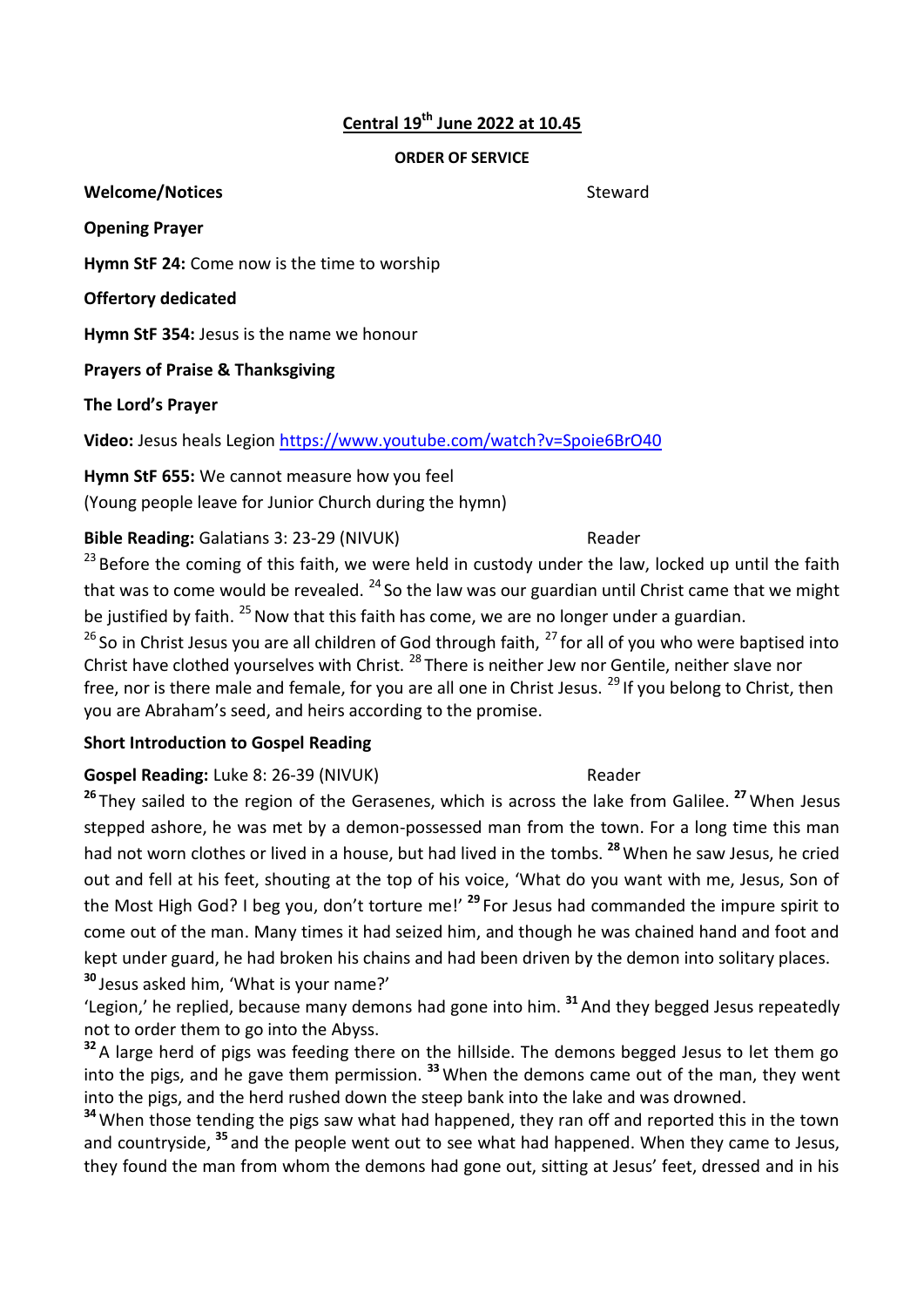# **Central 19th June 2022 at 10.45**

#### **ORDER OF SERVICE**

**Welcome/Notices** and the steward steward steward

**Opening Prayer**

**Hymn StF 24:** Come now is the time to worship

**Offertory dedicated**

**Hymn StF 354:** Jesus is the name we honour

**Prayers of Praise & Thanksgiving**

**The Lord's Prayer**

**Video:** Jesus heals Legion<https://www.youtube.com/watch?v=Spoie6BrO40>

**Hymn StF 655:** We cannot measure how you feel

(Young people leave for Junior Church during the hymn)

**Bible Reading:** Galatians 3: 23-29 (NIVUK) Reader

<sup>23</sup> Before the coming of this faith, we were held in custody under the law, locked up until the faith that was to come would be revealed.  $^{24}$  So the law was our guardian until Christ came that we might be justified by faith.  $^{25}$  Now that this faith has come, we are no longer under a guardian.

 $26$  So in Christ Jesus you are all children of God through faith,  $27$  for all of you who were baptised into Christ have clothed yourselves with Christ. <sup>28</sup> There is neither Jew nor Gentile, neither slave nor free, nor is there male and female, for you are all one in Christ Jesus.  $^{29}$  If you belong to Christ, then you are Abraham's seed, and heirs according to the promise.

# **Short Introduction to Gospel Reading**

# Gospel Reading: Luke 8: 26-39 (NIVUK) Reader

**<sup>26</sup>** They sailed to the region of the Gerasenes, which is across the lake from Galilee. **<sup>27</sup>**When Jesus stepped ashore, he was met by a demon-possessed man from the town. For a long time this man had not worn clothes or lived in a house, but had lived in the tombs. **<sup>28</sup>**When he saw Jesus, he cried out and fell at his feet, shouting at the top of his voice, 'What do you want with me, Jesus, Son of the Most High God? I beg you, don't torture me!' **<sup>29</sup>** For Jesus had commanded the impure spirit to come out of the man. Many times it had seized him, and though he was chained hand and foot and kept under guard, he had broken his chains and had been driven by the demon into solitary places. **<sup>30</sup>** Jesus asked him, 'What is your name?'

'Legion,' he replied, because many demons had gone into him. **<sup>31</sup>** And they begged Jesus repeatedly not to order them to go into the Abyss.

**<sup>32</sup>** A large herd of pigs was feeding there on the hillside. The demons begged Jesus to let them go into the pigs, and he gave them permission. **<sup>33</sup>**When the demons came out of the man, they went into the pigs, and the herd rushed down the steep bank into the lake and was drowned.

**<sup>34</sup>**When those tending the pigs saw what had happened, they ran off and reported this in the town and countryside, **<sup>35</sup>** and the people went out to see what had happened. When they came to Jesus, they found the man from whom the demons had gone out, sitting at Jesus' feet, dressed and in his